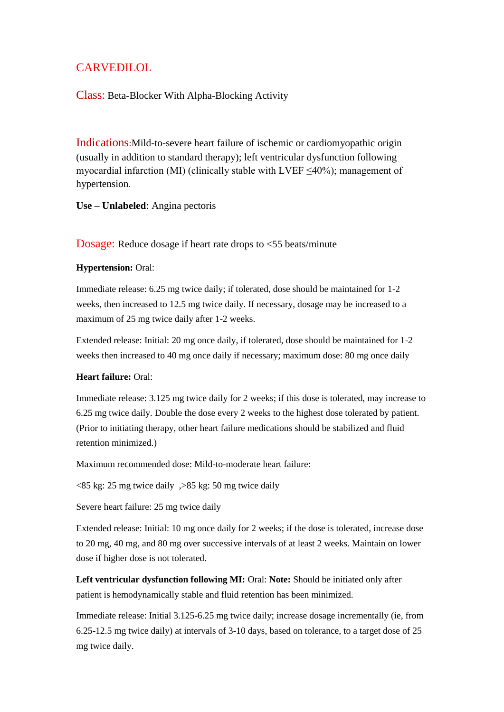## **CARVEDILOL**

### Class: Beta-Blocker With Alpha-Blocking Activity

Indications:Mild-to-severe heart failure of ischemic or cardiomyopathic origin (usually in addition to standard therapy); left ventricular dysfunction following myocardial infarction (MI) (clinically stable with LVEF  $\leq$ 40%); management of hypertension.

**Use – Unlabeled**: Angina pectoris

Dosage: Reduce dosage if heart rate drops to  $\langle$  55 beats/minute

#### **Hypertension:** Oral:

Immediate release: 6.25 mg twice daily; if tolerated, dose should be maintained for 1-2 weeks, then increased to 12.5 mg twice daily. If necessary, dosage may be increased to a maximum of 25 mg twice daily after 1-2 weeks.

Extended release: Initial: 20 mg once daily, if tolerated, dose should be maintained for 1-2 weeks then increased to 40 mg once daily if necessary; maximum dose: 80 mg once daily

#### **Heart failure:** Oral:

Immediate release: 3.125 mg twice daily for 2 weeks; if this dose is tolerated, may increase to 6.25 mg twice daily. Double the dose every 2 weeks to the highest dose tolerated by patient. (Prior to initiating therapy, other heart failure medications should be stabilized and fluid retention minimized.)

Maximum recommended dose: Mild-to-moderate heart failure:

 $\langle 85 \text{ kg} : 25 \text{ mg}$  twice daily  $\langle 85 \text{ kg} : 50 \text{ mg}$  twice daily

Severe heart failure: 25 mg twice daily

Extended release: Initial: 10 mg once daily for 2 weeks; if the dose is tolerated, increase dose to 20 mg, 40 mg, and 80 mg over successive intervals of at least 2 weeks. Maintain on lower dose if higher dose is not tolerated.

**Left ventricular dysfunction following MI:** Oral: **Note:** Should be initiated only after patient is hemodynamically stable and fluid retention has been minimized.

Immediate release: Initial 3.125-6.25 mg twice daily; increase dosage incrementally (ie, from 6.25-12.5 mg twice daily) at intervals of 3-10 days, based on tolerance, to a target dose of 25 mg twice daily.